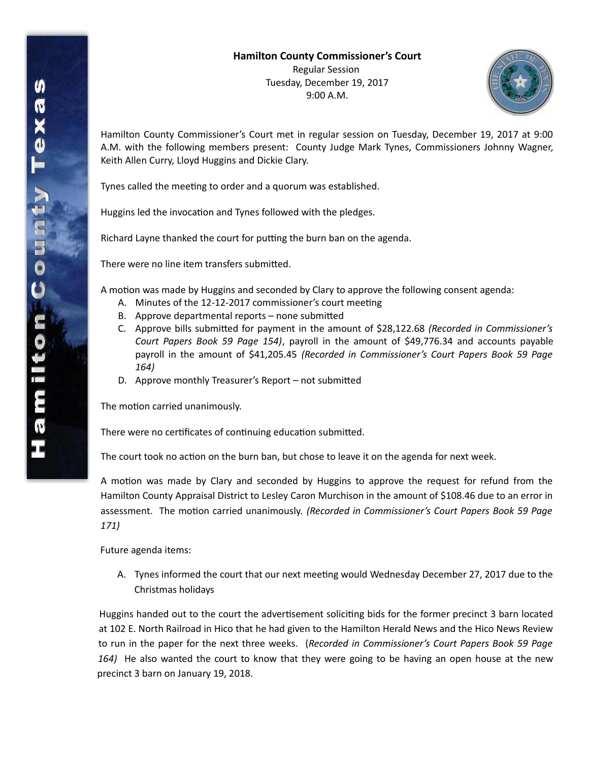

Hamilton County Commissioner's Court met in regular session on Tuesday, December 19, 2017 at 9:00 A.M. with the following members present: County Judge Mark Tynes, Commissioners Johnny Wagner, Keith Allen Curry, Lloyd Huggins and Dickie Clary.

Tynes called the meeting to order and a quorum was established.

Huggins led the invocation and Tynes followed with the pledges.

Richard Layne thanked the court for putting the burn ban on the agenda.

There were no line item transfers submitted.

A motion was made by Huggins and seconded by Clary to approve the following consent agenda:

- A. Minutes of the 12-12-2017 commissioner's court meeting
- B. Approve departmental reports none submitted
- C. Approve bills submitted for payment in the amount of \$28,122.68 *(Recorded in Commissioner's Court Papers Book 59 Page 154)*, payroll in the amount of \$49,776.34 and accounts payable payroll in the amount of \$41,205.45 *(Recorded in Commissioner's Court Papers Book 59 Page 164)*
- D. Approve monthly Treasurer's Report not submitted

The motion carried unanimously.

There were no certificates of continuing education submitted.

The court took no action on the burn ban, but chose to leave it on the agenda for next week.

A motion was made by Clary and seconded by Huggins to approve the request for refund from the Hamilton County Appraisal District to Lesley Caron Murchison in the amount of \$108.46 due to an error in assessment. The motion carried unanimously. *(Recorded in Commissioner's Court Papers Book 59 Page 171)*

Future agenda items:

A. Tynes informed the court that our next meeting would Wednesday December 27, 2017 due to the Christmas holidays

Huggins handed out to the court the advertisement soliciting bids for the former precinct 3 barn located at 102 E. North Railroad in Hico that he had given to the Hamilton Herald News and the Hico News Review to run in the paper for the next three weeks. (*Recorded in Commissioner's Court Papers Book 59 Page 164)* He also wanted the court to know that they were going to be having an open house at the new precinct 3 barn on January 19, 2018.